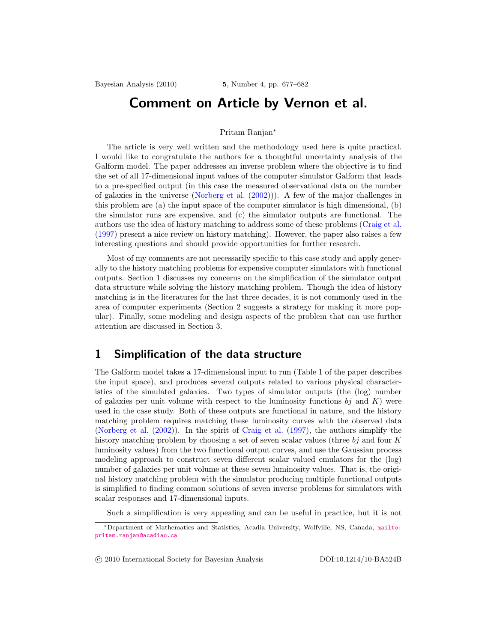# Comment on Article by Vernon et al.

#### Pritam Ranjan<sup>∗</sup>

The article is very well written and the methodology used here is quite practical. I would like to congratulate the authors for a thoughtful uncertainty analysis of the Galform model. The paper addresses an inverse problem where the objective is to find the set of all 17-dimensional input values of the computer simulator Galform that leads to a pre-specified output (in this case the measured observational data on the number of galaxies in the universe (Norberg et al. (2002))). A few of the major challenges in this problem are (a) the input space of the computer simulator is high dimensional, (b) the simulator runs are expensive, and (c) the simulator outputs are functional. The authors use the idea of history matching to address some of these problems (Craig et al. (1997) present a nice review on history matching). However, the paper also raises a few interesting questions and should provide opportunities for further research.

Most of my comments are not necessarily specific to this case study and apply generally to the history matching problems for expensive computer simulators with functional outputs. Section 1 discusses my concerns on the simplification of the simulator output data structure while solving the history matching problem. Though the idea of history matching is in the literatures for the last three decades, it is not commonly used in the area of computer experiments (Section 2 suggests a strategy for making it more popular). Finally, some modeling and design aspects of the problem that can use further attention are discussed in Section 3.

### 1 Simplification of the data structure

The Galform model takes a 17-dimensional input to run (Table 1 of the paper describes the input space), and produces several outputs related to various physical characteristics of the simulated galaxies. Two types of simulator outputs (the (log) number of galaxies per unit volume with respect to the luminosity functions  $bj$  and  $K$ ) were used in the case study. Both of these outputs are functional in nature, and the history matching problem requires matching these luminosity curves with the observed data (Norberg et al. (2002)). In the spirit of Craig et al. (1997), the authors simplify the history matching problem by choosing a set of seven scalar values (three  $bj$  and four K luminosity values) from the two functional output curves, and use the Gaussian process modeling approach to construct seven different scalar valued emulators for the (log) number of galaxies per unit volume at these seven luminosity values. That is, the original history matching problem with the simulator producing multiple functional outputs is simplified to finding common solutions of seven inverse problems for simulators with scalar responses and 17-dimensional inputs.

Such a simplification is very appealing and can be useful in practice, but it is not

c 2010 International Society for Bayesian Analysis DOI:10.1214/10-BA524B

<sup>∗</sup>Department of Mathematics and Statistics, Acadia University, Wolfville, NS, Canada, mailto: pritam.ranjan@acadiau.ca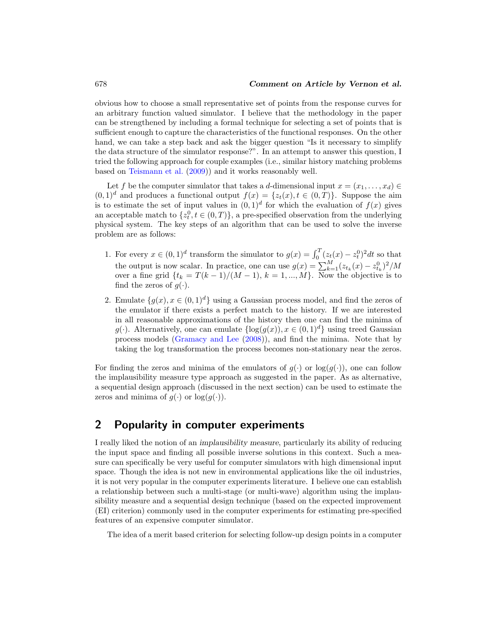obvious how to choose a small representative set of points from the response curves for an arbitrary function valued simulator. I believe that the methodology in the paper can be strengthened by including a formal technique for selecting a set of points that is sufficient enough to capture the characteristics of the functional responses. On the other hand, we can take a step back and ask the bigger question "Is it necessary to simplify the data structure of the simulator response?". In an attempt to answer this question, I tried the following approach for couple examples (i.e., similar history matching problems based on Teismann et al. (2009)) and it works reasonably well.

Let f be the computer simulator that takes a d-dimensional input  $x = (x_1, \ldots, x_d) \in$  $(0,1)^d$  and produces a functional output  $f(x) = \{z_t(x), t \in (0,T)\}\.$  Suppose the aim is to estimate the set of input values in  $(0,1)^d$  for which the evaluation of  $f(x)$  gives an acceptable match to  $\{z_t^0, t \in (0,T)\}\$ , a pre-specified observation from the underlying physical system. The key steps of an algorithm that can be used to solve the inverse problem are as follows:

- 1. For every  $x \in (0,1)^d$  transform the simulator to  $g(x) = \int_0^T (z_t(x) z_t^0)^2 dt$  so that the output is now scalar. In practice, one can use  $g(x) = \sum_{k=1}^{M} (z_{t_k}(x) - z_{t_k}^0)^2 / M$ over a fine grid  $\{t_k = T(k-1)/(M-1), k = 1, ..., M\}$ . Now the objective is to find the zeros of  $g(\cdot)$ .
- 2. Emulate  $\{g(x), x \in (0,1)^d\}$  using a Gaussian process model, and find the zeros of the emulator if there exists a perfect match to the history. If we are interested in all reasonable approximations of the history then one can find the minima of g(.). Alternatively, one can emulate  $\{\log(g(x)), x \in (0,1)^d\}$  using treed Gaussian process models (Gramacy and Lee (2008)), and find the minima. Note that by taking the log transformation the process becomes non-stationary near the zeros.

For finding the zeros and minima of the emulators of  $q(\cdot)$  or  $\log(q(\cdot))$ , one can follow the implausibility measure type approach as suggested in the paper. As as alternative, a sequential design approach (discussed in the next section) can be used to estimate the zeros and minima of  $g(\cdot)$  or  $\log(g(\cdot))$ .

## 2 Popularity in computer experiments

I really liked the notion of an *implausibility measure*, particularly its ability of reducing the input space and finding all possible inverse solutions in this context. Such a measure can specifically be very useful for computer simulators with high dimensional input space. Though the idea is not new in environmental applications like the oil industries, it is not very popular in the computer experiments literature. I believe one can establish a relationship between such a multi-stage (or multi-wave) algorithm using the implausibility measure and a sequential design technique (based on the expected improvement (EI) criterion) commonly used in the computer experiments for estimating pre-specified features of an expensive computer simulator.

The idea of a merit based criterion for selecting follow-up design points in a computer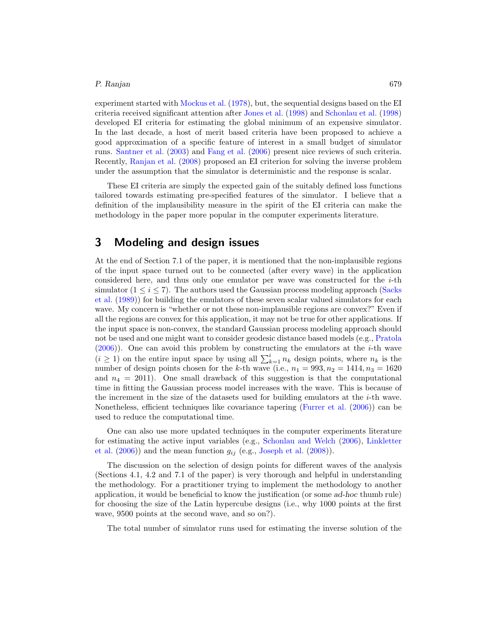#### *P. Ranjan* 679

experiment started with Mockus et al. (1978), but, the sequential designs based on the EI criteria received significant attention after Jones et al. (1998) and Schonlau et al. (1998) developed EI criteria for estimating the global minimum of an expensive simulator. In the last decade, a host of merit based criteria have been proposed to achieve a good approximation of a specific feature of interest in a small budget of simulator runs. Santner et al. (2003) and Fang et al. (2006) present nice reviews of such criteria. Recently, Ranjan et al. (2008) proposed an EI criterion for solving the inverse problem under the assumption that the simulator is deterministic and the response is scalar.

These EI criteria are simply the expected gain of the suitably defined loss functions tailored towards estimating pre-specified features of the simulator. I believe that a definition of the implausibility measure in the spirit of the EI criteria can make the methodology in the paper more popular in the computer experiments literature.

### 3 Modeling and design issues

At the end of Section 7.1 of the paper, it is mentioned that the non-implausible regions of the input space turned out to be connected (after every wave) in the application considered here, and thus only one emulator per wave was constructed for the  $i$ -th simulator  $(1 \le i \le 7)$ . The authors used the Gaussian process modeling approach (Sacks et al. (1989)) for building the emulators of these seven scalar valued simulators for each wave. My concern is "whether or not these non-implausible regions are convex?" Even if all the regions are convex for this application, it may not be true for other applications. If the input space is non-convex, the standard Gaussian process modeling approach should not be used and one might want to consider geodesic distance based models (e.g., Pratola (2006)). One can avoid this problem by constructing the emulators at the i-th wave  $(i \geq 1)$  on the entire input space by using all  $\sum_{k=1}^{i} n_k$  design points, where  $n_k$  is the number of design points chosen for the k-th wave (i.e.,  $n_1 = 993, n_2 = 1414, n_3 = 1620$ and  $n_4 = 2011$ ). One small drawback of this suggestion is that the computational time in fitting the Gaussian process model increases with the wave. This is because of the increment in the size of the datasets used for building emulators at the  $i$ -th wave. Nonetheless, efficient techniques like covariance tapering (Furrer et al. (2006)) can be used to reduce the computational time.

One can also use more updated techniques in the computer experiments literature for estimating the active input variables (e.g., Schonlau and Welch (2006), Linkletter et al.  $(2006)$  and the mean function  $g_{ij}$  (e.g., Joseph et al.  $(2008)$ ).

The discussion on the selection of design points for different waves of the analysis (Sections 4.1, 4.2 and 7.1 of the paper) is very thorough and helpful in understanding the methodology. For a practitioner trying to implement the methodology to another application, it would be beneficial to know the justification (or some *ad-hoc* thumb rule) for choosing the size of the Latin hypercube designs (i.e., why 1000 points at the first wave, 9500 points at the second wave, and so on?).

The total number of simulator runs used for estimating the inverse solution of the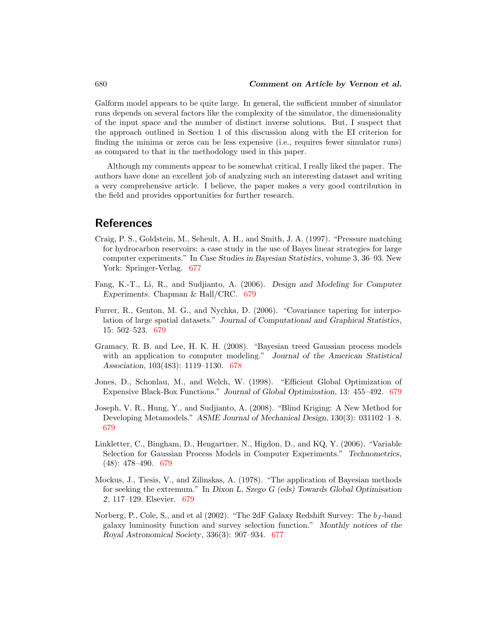Galform model appears to be quite large. In general, the sufficient number of simulator runs depends on several factors like the complexity of the simulator, the dimensionality of the input space and the number of distinct inverse solutions. But, I suspect that the approach outlined in Section 1 of this discussion along with the EI criterion for finding the minima or zeros can be less expensive (i.e., requires fewer simulator runs) as compared to that in the methodology used in this paper.

Although my comments appear to be somewhat critical, I really liked the paper. The authors have done an excellent job of analyzing such an interesting dataset and writing a very comprehensive article. I believe, the paper makes a very good contribution in the field and provides opportunities for further research.

### References

- Craig, P. S., Goldstein, M., Seheult, A. H., and Smith, J. A. (1997). "Pressure matching for hydrocarbon reservoirs: a case study in the use of Bayes linear strategies for large computer experiments." In *Case Studies in Bayesian Statistics*, volume 3, 36–93. New York: Springer-Verlag. 677
- Fang, K.-T., Li, R., and Sudjianto, A. (2006). *Design and Modeling for Computer Experiments*. Chapman & Hall/CRC. 679
- Furrer, R., Genton, M. G., and Nychka, D. (2006). "Covariance tapering for interpolation of large spatial datasets." *Journal of Computational and Graphical Statistics*, 15: 502–523. 679
- Gramacy, R. B. and Lee, H. K. H. (2008). "Bayesian treed Gaussian process models with an application to computer modeling." *Journal of the American Statistical Association*, 103(483): 1119–1130. 678
- Jones, D., Schonlau, M., and Welch, W. (1998). "Efficient Global Optimization of Expensive Black-Box Functions." *Journal of Global Optimization*, 13: 455–492. 679
- Joseph, V. R., Hung, Y., and Sudjianto, A. (2008). "Blind Kriging: A New Method for Developing Metamodels." *ASME Journal of Mechanical Design*, 130(3): 031102–1–8. 679
- Linkletter, C., Bingham, D., Hengartner, N., Higdon, D., and KQ, Y. (2006). "Variable Selection for Gaussian Process Models in Computer Experiments." *Technometrics*, (48): 478–490. 679
- Mockus, J., Tiesis, V., and Zilinskas, A. (1978). "The application of Bayesian methods for seeking the extremum." In *Dixon L, Szego G (eds) Towards Global Optimisation 2*, 117–129. Elsevier. 679
- Norberg, P., Cole, S., and et al  $(2002)$ . "The 2dF Galaxy Redshift Survey: The  $b<sub>I</sub>$ -band galaxy luminosity function and survey selection function." *Monthly notices of the Royal Astronomical Society*, 336(3): 907–934. 677